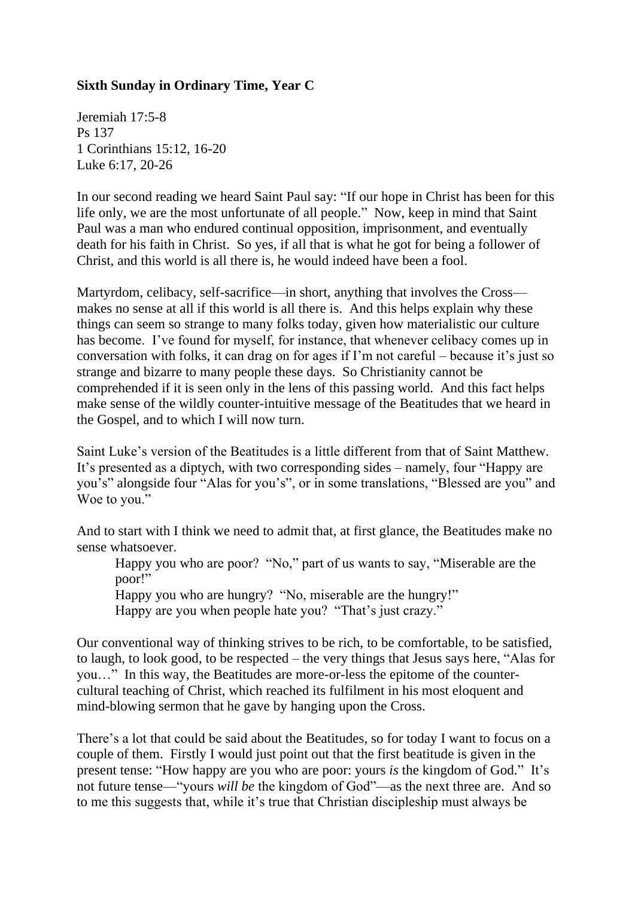## **Sixth Sunday in Ordinary Time, Year C**

Jeremiah 17:5-8 Ps 137 1 Corinthians 15:12, 16-20 Luke 6:17, 20-26

In our second reading we heard Saint Paul say: "If our hope in Christ has been for this life only, we are the most unfortunate of all people." Now, keep in mind that Saint Paul was a man who endured continual opposition, imprisonment, and eventually death for his faith in Christ. So yes, if all that is what he got for being a follower of Christ, and this world is all there is, he would indeed have been a fool.

Martyrdom, celibacy, self-sacrifice—in short, anything that involves the Cross makes no sense at all if this world is all there is. And this helps explain why these things can seem so strange to many folks today, given how materialistic our culture has become. I've found for myself, for instance, that whenever celibacy comes up in conversation with folks, it can drag on for ages if I'm not careful – because it's just so strange and bizarre to many people these days. So Christianity cannot be comprehended if it is seen only in the lens of this passing world. And this fact helps make sense of the wildly counter-intuitive message of the Beatitudes that we heard in the Gospel, and to which I will now turn.

Saint Luke's version of the Beatitudes is a little different from that of Saint Matthew. It's presented as a diptych, with two corresponding sides – namely, four "Happy are you's" alongside four "Alas for you's", or in some translations, "Blessed are you" and Woe to you."

And to start with I think we need to admit that, at first glance, the Beatitudes make no sense whatsoever.

Happy you who are poor? "No," part of us wants to say, "Miserable are the poor!"

Happy you who are hungry? "No, miserable are the hungry!" Happy are you when people hate you? "That's just crazy."

Our conventional way of thinking strives to be rich, to be comfortable, to be satisfied, to laugh, to look good, to be respected – the very things that Jesus says here, "Alas for you…" In this way, the Beatitudes are more-or-less the epitome of the countercultural teaching of Christ, which reached its fulfilment in his most eloquent and mind-blowing sermon that he gave by hanging upon the Cross.

There's a lot that could be said about the Beatitudes, so for today I want to focus on a couple of them. Firstly I would just point out that the first beatitude is given in the present tense: "How happy are you who are poor: yours *is* the kingdom of God." It's not future tense—"yours *will be* the kingdom of God"—as the next three are. And so to me this suggests that, while it's true that Christian discipleship must always be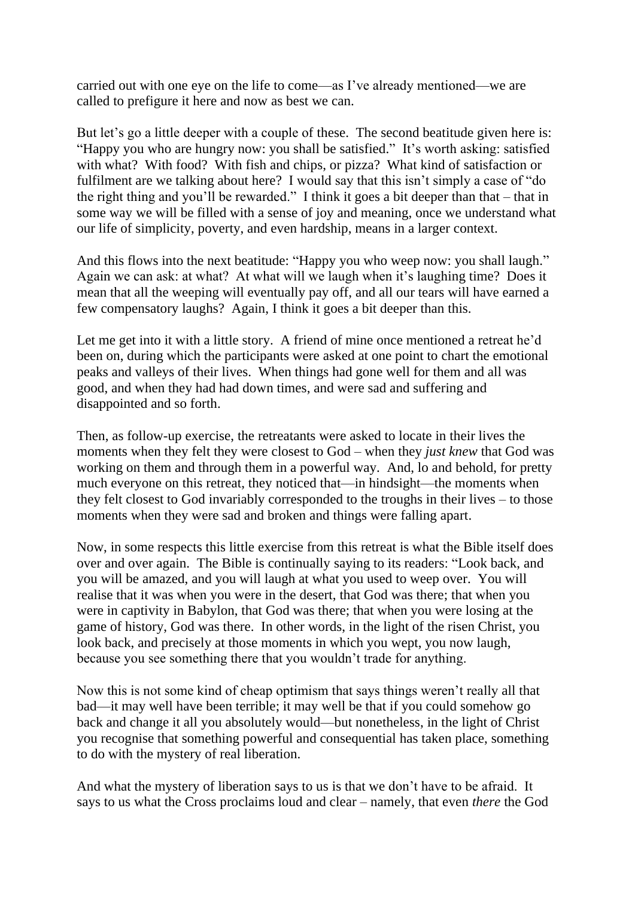carried out with one eye on the life to come—as I've already mentioned—we are called to prefigure it here and now as best we can.

But let's go a little deeper with a couple of these. The second beatitude given here is: "Happy you who are hungry now: you shall be satisfied." It's worth asking: satisfied with what? With food? With fish and chips, or pizza? What kind of satisfaction or fulfilment are we talking about here? I would say that this isn't simply a case of "do the right thing and you'll be rewarded." I think it goes a bit deeper than that – that in some way we will be filled with a sense of joy and meaning, once we understand what our life of simplicity, poverty, and even hardship, means in a larger context.

And this flows into the next beatitude: "Happy you who weep now: you shall laugh." Again we can ask: at what? At what will we laugh when it's laughing time? Does it mean that all the weeping will eventually pay off, and all our tears will have earned a few compensatory laughs? Again, I think it goes a bit deeper than this.

Let me get into it with a little story. A friend of mine once mentioned a retreat he'd been on, during which the participants were asked at one point to chart the emotional peaks and valleys of their lives. When things had gone well for them and all was good, and when they had had down times, and were sad and suffering and disappointed and so forth.

Then, as follow-up exercise, the retreatants were asked to locate in their lives the moments when they felt they were closest to God – when they *just knew* that God was working on them and through them in a powerful way. And, lo and behold, for pretty much everyone on this retreat, they noticed that—in hindsight—the moments when they felt closest to God invariably corresponded to the troughs in their lives – to those moments when they were sad and broken and things were falling apart.

Now, in some respects this little exercise from this retreat is what the Bible itself does over and over again. The Bible is continually saying to its readers: "Look back, and you will be amazed, and you will laugh at what you used to weep over. You will realise that it was when you were in the desert, that God was there; that when you were in captivity in Babylon, that God was there; that when you were losing at the game of history, God was there. In other words, in the light of the risen Christ, you look back, and precisely at those moments in which you wept, you now laugh, because you see something there that you wouldn't trade for anything.

Now this is not some kind of cheap optimism that says things weren't really all that bad—it may well have been terrible; it may well be that if you could somehow go back and change it all you absolutely would—but nonetheless, in the light of Christ you recognise that something powerful and consequential has taken place, something to do with the mystery of real liberation.

And what the mystery of liberation says to us is that we don't have to be afraid. It says to us what the Cross proclaims loud and clear – namely, that even *there* the God